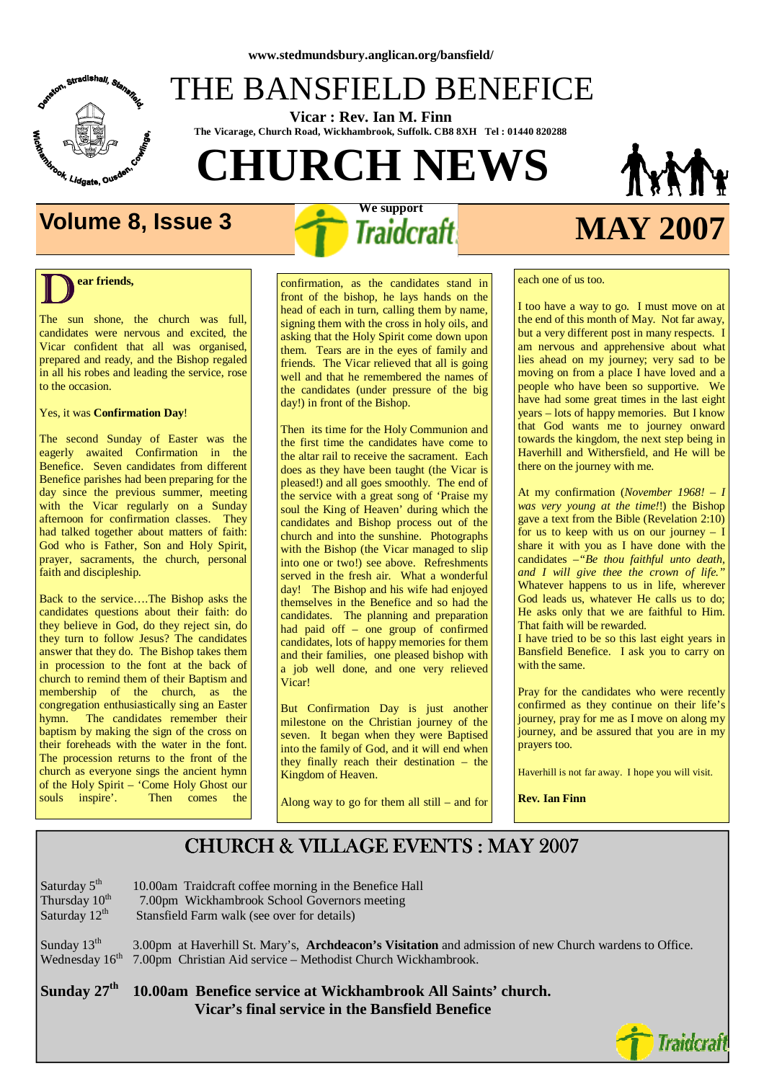

## THE BANSFIELD BENEFICE

 **Vicar : Rev. Ian M. Finn The Vicarage, Church Road, Wickhambrook, Suffolk. CB8 8XH Tel : 01440 820288**

 **We support** 

**CHURCH NEWS** 

# **Volume 8, Issue 3** *Traidcraft* **MAY 2007**

### $\overline{\mathbf{D}}^{\text{ea}}$ **ear friends,**

The sun shone, the church was full, candidates were nervous and excited, the Vicar confident that all was organised, prepared and ready, and the Bishop regaled in all his robes and leading the service, rose to the occasion.

### Yes, it was **Confirmation Day**!

The second Sunday of Easter was the eagerly awaited Confirmation in the Benefice. Seven candidates from different Benefice parishes had been preparing for the day since the previous summer, meeting with the Vicar regularly on a Sunday afternoon for confirmation classes. They had talked together about matters of faith: God who is Father, Son and Holy Spirit, prayer, sacraments, the church, personal faith and discipleship.

Back to the service….The Bishop asks the candidates questions about their faith: do they believe in God, do they reject sin, do they turn to follow Jesus? The candidates answer that they do. The Bishop takes them in procession to the font at the back of church to remind them of their Baptism and membership of the church, as the congregation enthusiastically sing an Easter hymn. The candidates remember their baptism by making the sign of the cross on their foreheads with the water in the font. The procession returns to the front of the church as everyone sings the ancient hymn of the Holy Spirit – 'Come Holy Ghost our<br>souls inspire'. Then comes the Then comes the

confirmation, as the candidates stand in front of the bishop, he lays hands on the head of each in turn, calling them by name, signing them with the cross in holy oils, and asking that the Holy Spirit come down upon them. Tears are in the eyes of family and friends. The Vicar relieved that all is going well and that he remembered the names of the candidates (under pressure of the big day!) in front of the Bishop.

Then its time for the Holy Communion and the first time the candidates have come to the altar rail to receive the sacrament. Each does as they have been taught (the Vicar is pleased!) and all goes smoothly. The end of the service with a great song of 'Praise my soul the King of Heaven' during which the candidates and Bishop process out of the church and into the sunshine. Photographs with the Bishop (the Vicar managed to slip into one or two!) see above. Refreshments served in the fresh air. What a wonderful day! The Bishop and his wife had enjoyed themselves in the Benefice and so had the candidates. The planning and preparation had paid off – one group of confirmed candidates, lots of happy memories for them and their families, one pleased bishop with a job well done, and one very relieved Vicar!

But Confirmation Day is just another milestone on the Christian journey of the seven. It began when they were Baptised into the family of God, and it will end when they finally reach their destination – the Kingdom of Heaven.

Along way to go for them all still – and for

each one of us too.

I too have a way to go. I must move on at the end of this month of May. Not far away, but a very different post in many respects. I am nervous and apprehensive about what lies ahead on my journey; very sad to be moving on from a place I have loved and a people who have been so supportive. We have had some great times in the last eight years – lots of happy memories. But I know that God wants me to journey onward towards the kingdom, the next step being in Haverhill and Withersfield, and He will be there on the journey with me.

At my confirmation (*November 1968! – I was very young at the time!*!) the Bishop gave a text from the Bible (Revelation 2:10) for us to keep with us on our journey – I share it with you as I have done with the candidates *–"Be thou faithful unto death, and I will give thee the crown of life."* Whatever happens to us in life, wherever God leads us, whatever He calls us to do; He asks only that we are faithful to Him. That faith will be rewarded.

I have tried to be so this last eight years in Bansfield Benefice. I ask you to carry on with the same.

Pray for the candidates who were recently confirmed as they continue on their life's journey, pray for me as I move on along my journey, and be assured that you are in my prayers too.

Haverhill is not far away. I hope you will visit.

**Rev. Ian Finn**

### CHURCH & VILLAGE EVENTS : MAY 2007

| Saturday 5 <sup>th</sup>                                                                                                                                                                                                                                                                                                                 | 10.00am Traidcraft coffee morning in the Benefice Hall                         |
|------------------------------------------------------------------------------------------------------------------------------------------------------------------------------------------------------------------------------------------------------------------------------------------------------------------------------------------|--------------------------------------------------------------------------------|
| Thursday 10 <sup>th</sup>                                                                                                                                                                                                                                                                                                                | 7.00pm Wickhambrook School Governors meeting                                   |
| Saturday 12 <sup>th</sup>                                                                                                                                                                                                                                                                                                                | Stansfield Farm walk (see over for details)                                    |
| $\alpha$ 1 1 1 1 1 1 1 1 1 1 1 $\alpha$ 1 1 $\alpha$ 1 1 $\alpha$ 1 1 $\alpha$ 1 1 $\alpha$ 1 1 $\alpha$ 1 1 $\alpha$ 1 1 $\alpha$ 1 $\alpha$ 1 $\alpha$ 1 $\alpha$ 1 $\alpha$ 1 $\alpha$ 1 $\alpha$ 1 $\alpha$ 1 $\alpha$ 1 $\alpha$ 1 $\alpha$ 1 $\alpha$ 1 $\alpha$ 1 $\alpha$ 1 $\alpha$ 1 $\alpha$ 1 $\alpha$ 1 $\alpha$ 1 $\alpha$ | $2.00$ it $1.910$ in $1.11$ it $1.77$ is $1.11$ if $1.11$ if $1.11$ if $1.000$ |

Sunday 13<sup>th</sup> 3.00pm at Haverhill St. Mary's, **Archdeacon's Visitation** and admission of new Church wardens to Office. Wednesday 16<sup>th</sup> 7.00pm Christian Aid service – Methodist Church Wickhambrook. 7.00pm Christian Aid service – Methodist Church Wickhambrook.

**Sunday 27th 10.00am Benefice service at Wickhambrook All Saints' church. Vicar's final service in the Bansfield Benefice**